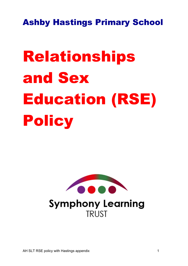Ashby Hastings Primary School

# Relationships and Sex Education (RSE) **Policy**

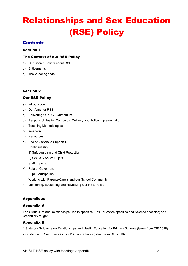## Relationships and Sex Education (RSE) Policy

#### **Contents**

#### Section 1

#### The Context of our RSE Policy

- a) Our Shared Beliefs about RSE
- b) Entitlements
- c) The Wider Agenda

#### Section 2

#### Our RSE Policy

- a) Introduction
- b) Our Aims for RSE
- c) Delivering Our RSE Curriculum
- d) Responsibilities for Curriculum Delivery and Policy Implementation
- e) Teaching Methodologies
- f) Inclusion
- g) Resources
- h) Use of Visitors to Support RSE
- i) Confidentiality
	- 1) Safeguarding and Child Protection
	- 2) Sexually Active Pupils
- j) Staff Training
- k) Role of Governors
- l) Pupil Participation
- m) Working with Parents/Carers and our School Community
- n) Monitoring, Evaluating and Reviewing Our RSE Policy

#### Appendices

#### Appendix A

The Curriculum (for Relationships/Health specifics, Sex Education specifics and Science specifics) and vocabulary taught

#### Appendix B

1 Statutory Guidance on Relationships and Health Education for Primary Schools (taken from DfE 2019)

2 Guidance on Sex Education for Primary Schools (taken from DfE 2019)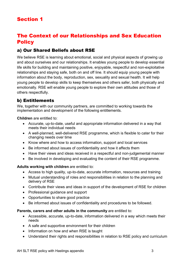## Section 1

## The Context of our Relationships and Sex Education **Policy**

#### a) Our Shared Beliefs about RSE

We believe RSE is learning about emotional, social and physical aspects of growing up and about ourselves and our relationships. It enables young people to develop essential life skills for building and maintaining positive, enjoyable, respectful and non-exploitative relationships and staying safe, both on and off line. It should equip young people with information about the body, reproduction, sex, sexuality and sexual health. It will help young people to develop skills to keep themselves and others safer, both physically and emotionally. RSE will enable young people to explore their own attitudes and those of others respectfully.

#### b) Entitlements

We, together with our community partners, are committed to working towards the implementation and development of the following entitlements.

Children are entitled to:

- Accurate, up-to-date, useful and appropriate information delivered in a way that meets their individual needs
- A well-planned, well-delivered RSE programme, which is flexible to cater for their changing needs over time
- Know where and how to access information, support and local services
- Be informed about issues of confidentiality and how it affects them
- Have their views and ideas received in a respectful and non-judgemental manner
- Be involved in developing and evaluating the content of their RSE programme.

Adults working with children are entitled to:

- Access to high quality, up-to-date, accurate information, resources and training
- Mutual understanding of roles and responsibilities in relation to the planning and delivery of RSE
- Contribute their views and ideas in support of the development of RSE for children
- Professional guidance and support
- Opportunities to share good practice
- Be informed about issues of confidentiality and procedures to be followed.

#### Parents, carers and other adults in the community are entitled to:

- Accessible, accurate, up-to-date, information delivered in a way which meets their needs
- A safe and supportive environment for their children
- Information on how and when RSE is taught
- Understand their rights and responsibilities in relation to RSE policy and curriculum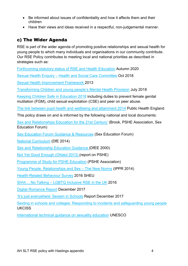- Be informed about issues of confidentiality and how it affects them and their children
- Have their views and ideas received in a respectful, non-judgemental manner.

## c) The Wider Agenda

RSE is part of the wider agenda of promoting positive relationships and sexual health for young people to which many individuals and organisations in our community contribute. Our RSE Policy contributes to meeting local and national priorities as described in strategies such as:

Forthcoming statutory status of RSE and Health Education Autumn 2020

Sexual Health Enquiry – Health and Social Care Committee Oct 2018

Sexual Health Improvement Framework 2013

Transforming Children and young people's Mental Health Provision July 2018

Keeping Children Safe in Education 2018 including duties to prevent female genital mutilation (FGM), child sexual exploitation (CSE) and peer on peer abuse.

The link between pupil health and wellbeing and attainment 2014 Public Health England

This policy draws on and is informed by the following national and local documents:

Sex and Relationships Education for the 21st Century' (Brook, PSHE Association, Sex Education Forum)

Sex Education Forum Guidance & Resources (Sex Education Forum)

National Curriculum (DfE 2014)

Sex and Relationship Education Guidance (DfEE 2000)

Not Yet Good Enough (Ofsted 2013) (report on PSHE)

Programme of Study for PSHE Education (PSHE Association)

Young People, Relationships and Sex – The New Norms (IPPR 2014)

Health-Related Behaviour Survey 2016 SHEU

Shhh….No Talking – LGBTQ Inclusive RSE in the UK 2016

Digital Romance Report December 2017

'It's just everywhere' Sexism in Schools Report December 2017

Sexting in schools and colleges: Responding to incidents and safeguarding young people **UKCISS** 

International technical guidance on sexuality education UNESCO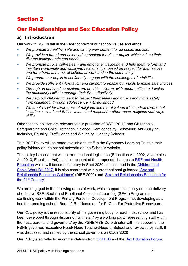## Section 2

## Our Relationships and Sex Education Policy

#### a) Introduction

Our work in RSE is set in the wider context of our school values and ethos:

- We promote a healthy, safe and caring environment for all pupils and staff.
- We provide a broad and balanced curriculum for all our pupils, which values their diverse backgrounds and needs.
- We promote pupils' self-esteem and emotional wellbeing and help them to form and maintain worthwhile and satisfying relationships, based on respect for themselves and for others, at home, at school, at work and in the community.
- We prepare our pupils to confidently engage with the challenges of adult life.
- We provide sufficient information and support to enable our pupils to make safe choices.
- Through an enriched curriculum, we provide children, with opportunities to develop the necessary skills to manage their lives effectively.
- We help our children to learn to respect themselves and others and move safely from childhood, through adolescence, into adulthood.
- We create a wider awareness of religious and moral values within a framework that includes societal and British values and respect for other races, religions and ways of life.

Other school policies are relevant to our provision of RSE: PSHE and Citizenship, Safeguarding and Child Protection, Science, Confidentiality, Behaviour, Anti-Bullying, Inclusion, Equality, Staff Health and Wellbeing, Healthy Schools.

This RSE Policy will be made available to staff in the Symphony Learning Trust in their policy folders/ on the school network/ on the School's website.

This policy is consistent with current national legislation (Education Act 2002, Academies Act 2010, Equalities Act). It takes account of the proposed changes to RSE and Health Education which will become statutory in Sept 2020 as described in the Children and Social Work Bill 2017. It is also consistent with current national guidance 'Sex and Relationship Education Guidance' (DfEE 2000) and 'Sex and Relationships Education for the 21st Century'.

We are engaged in the following areas of work, which support this policy and the delivery of effective RSE: Social and Emotional Aspects of Learning (SEAL) Programme, continuing work within the Primary Personal Development Programme, developing as a health promoting school, Route 2 Resilience and/or P4C and/or Protective Behaviours.

Our RSE policy is the responsibility of the governing body for each trust school and has been developed through discussion with staff/ by a working party representing staff within the trust, parents and governors/ by the PSHE/RSE Co-ordinator with the support of the PSHE governor/ Executive Head/ Head Teacher/Head of School and reviewed by staff. It was discussed and ratified by the school governors on 05/02/2020

Our Policy also reflects recommendations from OfSTED and the Sex Education Forum.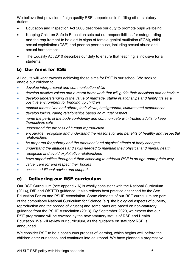We believe that provision of high quality RSE supports us in fulfilling other statutory duties:

- Education and Inspection Act 2006 describes our duty to promote pupil wellbeing
- Keeping Children Safe in Education sets out our responsibilities for safeguarding and the requirement to be alert to signs of female genital mutilation (FGM), child sexual exploitation (CSE) and peer on peer abuse, including sexual abuse and sexual harassment.
- The Equality Act 2010 describes our duty to ensure that teaching is inclusive for all students.

## b) Our Aims for RSE

All adults will work towards achieving these aims for RSE in our school. We seek to enable our children to:

- develop interpersonal and communication skills
- develop positive values and a moral framework that will guide their decisions and behaviour
- develop understanding of the value of marriage, stable relationships and family life as a positive environment for bringing up children
- respect themselves and others, their views, backgrounds, cultures and experiences
- develop loving, caring relationships based on mutual respect
- name the parts of the body confidently and communicate with trusted adults to keep themselves safe
- **•** understand the process of human reproduction
- encourage, recognise and understand the reasons for and benefits of healthy and respectful relationships
- be prepared for puberty and the emotional and physical effects of body changes
- understand the attitudes and skills needed to maintain their physical and mental health
- **•** recognise and avoid exploitative relationships
- have opportunities throughout their schooling to address RSE in an age-appropriate way
- value, care for and respect their bodies
- **access additional advice and support.**

#### c) Delivering our RSE curriculum

Our RSE Curriculum (see appendix A) is wholly consistent with the National Curriculum (2014), DfE and OfSTED guidance. It also reflects best practice described by the Sex Education Forum and PSHE Association. Some elements of our RSE curriculum are part of the compulsory National Curriculum for Science (e.g. the biological aspects of puberty, reproduction and the spread of viruses) and some parts are based on non-statutory guidance from the PSHE Association (2013). By September 2020, we expect that our RSE programme will be covered by the new statutory status of RSE and Health Education. We will review our curriculum, as the guidance on statutory RSE is announced.

We consider RSE to be a continuous process of learning, which begins well before the children enter our school and continues into adulthood. We have planned a progressive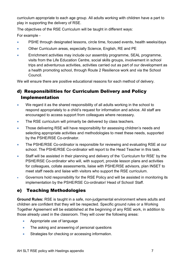curriculum appropriate to each age group. All adults working with children have a part to play in supporting the delivery of RSE.

The objectives of the RSE Curriculum will be taught in different ways:

For example -

- PSHE through designated lessons, circle time, focused events, health weeks/days
- Other Curriculum areas, especially Science, English, RE and PE
- Enrichment activities may include our assembly programme, SEAL programme, visits from the Life Education Centre, social skills groups, involvement in school trips and adventurous activities, activities carried out as part of our development as a health promoting school, through Route 2 Resilience work and via the School Council.

We will ensure there are positive educational reasons for each method of delivery.

## d) Responsibilities for Curriculum Delivery and Policy Implementation

- We regard it as the shared responsibility of all adults working in the school to respond appropriately to a child's request for information and advice. All staff are encouraged to access support from colleagues where necessary.
- The RSE curriculum will primarily be delivered by class teachers.
- Those delivering RSE will have responsibility for assessing children's needs and selecting appropriate activities and methodologies to meet these needs, supported by the PSHE/RSE Co-ordinator.
- The PSHE/RSE Co-ordinator is responsible for reviewing and evaluating RSE at our school. The PSHE/RSE Co-ordinator will report to the Head Teacher in this task.
- Staff will be assisted in their planning and delivery of the 'Curriculum for RSE' by the PSHE/RSE Co-ordinator who will, with support, provide lesson plans and activities for colleagues, collate assessments, liaise with PSHE/RSE advisors, plan INSET to meet staff needs and liaise with visitors who support the RSE curriculum.
- Governors hold responsibility for the RSE Policy and will be assisted in monitoring its implementation by the PSHE/RSE Co-ordinator/ Head of School/ Staff.

## e) Teaching Methodologies

Ground Rules: RSE is taught in a safe, non-judgemental environment where adults and children are confident that they will be respected. Specific ground rules or a Working Together Agreement will be established at the beginning of any RSE work, in addition to those already used in the classroom. They will cover the following areas:

- Appropriate use of language
- The asking and answering of personal questions
- Strategies for checking or accessing information.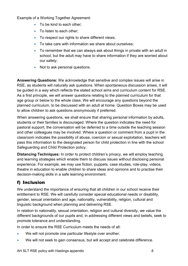Example of a Working Together Agreement:

- To be kind to each other;
- To listen to each other:
- To respect our rights to share different views;
- To take care with information we share about ourselves;
- To remember that we can always ask about things in private with an adult in school, but the adult may have to share information if they are worried about our safety;
- Not to ask personal questions.

Answering Questions: We acknowledge that sensitive and complex issues will arise in RSE, as students will naturally ask questions. When spontaneous discussion arises, it will be guided in a way which reflects the stated school aims and curriculum content for RSE. As a first principle, we will answer questions relating to the planned curriculum for that age group or below to the whole class. We will encourage any questions beyond the planned curriculum, to be discussed with an adult at home. Question Boxes may be used to allow children to ask questions anonymously if preferred.

When answering questions, we shall ensure that sharing personal information by adults, students or their families is discouraged. Where the question indicates the need for pastoral support, the conversation will be deferred to a time outside the teaching session and other colleagues may be involved. Where a question or comment from a pupil in the classroom indicates the possibility of abuse, coercion or sexual exploitation, teachers will pass this information to the designated person for child protection in line with the school Safeguarding and Child Protection policy.

Distancing Techniques: In order to protect children's privacy, we will employ teaching and learning strategies which enable them to discuss issues without disclosing personal experience. For example, we may use fiction, puppets, case studies, role-play, videos, theatre in education to enable children to share ideas and opinions and to practise their decision-making skills in a safe learning environment.

## f) Inclusion

We understand the importance of ensuring that all children in our school receive their entitlement to RSE. We will carefully consider special educational needs or disability, gender, sexual orientation and age, nationality, vulnerability, religion, cultural and linguistic background when planning and delivering RSE.

In relation to nationality, sexual orientation, religion and cultural diversity, we value the different backgrounds of our pupils and, in addressing different views and beliefs, seek to promote tolerance and understanding.

In order to ensure the RSE Curriculum meets the needs of all:

- We will not promote one particular lifestyle over another.
- We will not seek to gain consensus, but will accept and celebrate difference.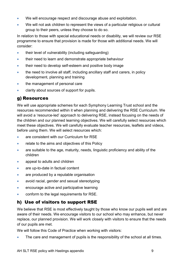- We will encourage respect and discourage abuse and exploitation.
- We will not ask children to represent the views of a particular religious or cultural group to their peers, unless they choose to do so.

In relation to those with special educational needs or disability, we will review our RSE programme to ensure that provision is made for those with additional needs. We will consider:

- their level of vulnerability (including safeguarding)
- **their need to learn and demonstrate appropriate behaviour**
- their need to develop self-esteem and positive body image
- the need to involve all staff, including ancillary staff and carers, in policy development, planning and training
- the management of personal care
- **•** clarity about sources of support for pupils.

#### g) Resources

We will use appropriate schemes for each Symphony Learning Trust school and the resources recommended within it when planning and delivering the RSE Curriculum. We will avoid a 'resource-led' approach to delivering RSE, instead focusing on the needs of the children and our planned learning objectives. We will carefully select resources which meet these objectives. We will carefully evaluate teacher resources, leaflets and videos, before using them. We will select resources which:

- are consistent with our Curriculum for RSE
- relate to the aims and objectives of this Policy
- are suitable to the age, maturity, needs, linguistic proficiency and ability of the children
- appeal to adults and children
- are up-to-date in factual content
- are produced by a reputable organisation
- avoid racial, gender and sexual stereotyping
- **•** encourage active and participative learning
- **•** conform to the legal requirements for RSE.

#### h) Use of visitors to support RSE

We believe that RSE is most effectively taught by those who know our pupils well and are aware of their needs. We encourage visitors to our school who may enhance, but never replace, our planned provision. We will work closely with visitors to ensure that the needs of our pupils are met.

We will follow this Code of Practice when working with visitors:

The care and management of pupils is the responsibility of the school at all times.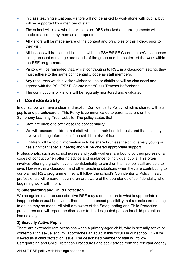- In class teaching situations, visitors will not be asked to work alone with pupils, but will be supported by a member of staff.
- The school will know whether visitors are DBS checked and arrangements will be made to accompany them as appropriate.
- All visitors will be made aware of the content and principles of this Policy, prior to their visit.
- All lessons will be planned in liaison with the PSHE/RSE Co-ordinator/Class teacher, taking account of the age and needs of the group and the context of the work within the RSE programme.
- Visitors will be reminded that, whilst contributing to RSE in a classroom setting, they must adhere to the same confidentiality code as staff members.
- Any resources which a visitor wishes to use or distribute will be discussed and agreed with the PSHE/RSE Co-ordinator/Class Teacher beforehand.
- The contributions of visitors will be regularly monitored and evaluated.

## i) Confidentiality

In our school we have a clear and explicit Confidentiality Policy, which is shared with staff, pupils and parents/carers. This Policy is communicated to parents/carers on the Symphony Learning Trust website. The policy states that:

- Staff are unable to offer absolute confidentiality.
- We will reassure children that staff will act in their best interests and that this may involve sharing information if the child is at risk of harm.
- Children will be told if information is to be shared (unless the child is very young or has significant special needs) and will be offered appropriate support.

Professionals, such as school nurses and youth workers, are bound by their professional codes of conduct when offering advice and guidance to individual pupils. This often involves offering a greater level of confidentiality to children than school staff are able to give. However, in a classroom and other teaching situations when they are contributing to our planned RSE programme, they will follow the school's Confidentiality Policy. Health professionals will ensure that children are aware of the boundaries of confidentiality when beginning work with them.

#### 1) Safeguarding and Child Protection

We recognise that because effective RSE may alert children to what is appropriate and inappropriate sexual behaviour, there is an increased possibility that a disclosure relating to abuse may be made. All staff are aware of the Safeguarding and Child Protection procedures and will report the disclosure to the designated person for child protection immediately.

#### 2) Sexually Active Pupils

There are extremely rare occasions when a primary-aged child, who is sexually active or contemplating sexual activity, approaches an adult. If this occurs in our school, it will be viewed as a child protection issue. The designated member of staff will follow Safeguarding and Child Protection Procedures and seek advice from the relevant agency.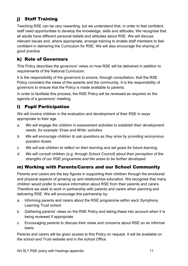## j) Staff Training

Teaching RSE can be very rewarding, but we understand that, in order to feel confident, staff need opportunities to develop the knowledge, skills and attitudes. We recognise that all adults have different personal beliefs and attitudes about RSE. We will discuss relevant issues and, where appropriate, arrange training to enable staff members to feel confident in delivering the Curriculum for RSE. We will also encourage the sharing of good practice.

#### k) Role of Governors

This Policy describes the governors' views on how RSE will be delivered in addition to requirements of the National Curriculum.

It is the responsibility of the governors to ensure, through consultation, that the RSE Policy considers the views of the parents and the community. It is the responsibility of governors to ensure that the Policy is made available to parents.

In order to facilitate this process, the RSE Policy will be reviewed as required on the agenda of a governors' meeting.

## l) Pupil Participation

We will involve children in the evaluation and development of their RSE in ways appropriate to their age.

- a. We will engage the children in assessment activities to establish their development needs, for example 'Draw and Write' activities
- b. We will encourage children to ask questions as they arise by providing anonymous question boxes.
- c. We will ask children to reflect on their learning and set goals for future learning.
- d. We will consult children (e.g. through School Council) about their perception of the strengths of our RSE programme and the areas to be further developed.

#### m) Working with Parents/Carers and our School Community

Parents and carers are the key figures in supporting their children through the emotional and physical aspects of growing up and relationships education. We recognise that many children would prefer to receive information about RSE from their parents and carers. Therefore we seek to work in partnership with parents and carers when planning and delivering RSE. We will encourage this partnership by:

- a. Informing parents and carers about the RSE programme within each Symphony Learning Trust school
- b. Gathering parents' views on the RSE Policy and taking these into account when it is being reviewed if appropriate
- c. Encouraging parents to discuss their views and concerns about RSE on an informal basis.

Parents and carers will be given access to this Policy on request. It will be available on the school and Trust website and in the school Office.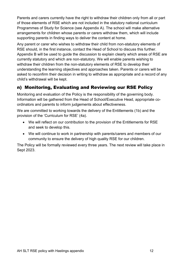Parents and carers currently have the right to withdraw their children only from all or part of those elements of RSE which are not included in the statutory national curriculum Programmes of Study for Science (see Appendix A). The school will make alternative arrangements for children whose parents or carers withdraw them, which will include supporting parents in finding ways to deliver the content at home.

Any parent or carer who wishes to withdraw their child from non-statutory elements of RSE should, in the first instance, contact the Head of School to discuss this further. Appendix B will be used to guide the discussion to explain clearly which areas of RSE are currently statutory and which are non-statutory. We will enable parents wishing to withdraw their children from the non-statutory elements of RSE to develop their understanding the learning objectives and approaches taken. Parents or carers will be asked to reconfirm their decision in writing to withdraw as appropriate and a record of any child's withdrawal will be kept.

### n) Monitoring, Evaluating and Reviewing our RSE Policy

Monitoring and evaluation of the Policy is the responsibility of the governing body. Information will be gathered from the Head of School/Executive Head, appropriate coordinators and parents to inform judgements about effectiveness.

We are committed to working towards the delivery of the Entitlements (1b) and the provision of the 'Curriculum for RSE' (4a).

- We will reflect on our contribution to the provision of the Entitlements for RSE and seek to develop this.
- We will continue to work in partnership with parents/carers and members of our community to ensure the delivery of high quality RSE for our children.

The Policy will be formally reviewed every three years. The next review will take place in Sept 2023.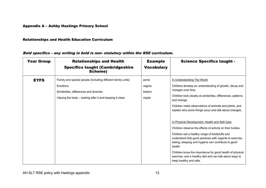#### Appendix A – Ashby Hastings Primary School

#### Relationships and Health Education Curriculum

#### Bold specifics – any writing in bold is non- statutory within the RSE curriculum.

| <b>Year Group</b> | <b>Relationships and Health</b><br><b>Specifics taught (Cambridgeshire</b><br>Scheme) | <b>Example</b><br><b>Vocabulary</b> | <b>Science Specifics taught -</b>                                                                                                                                            |
|-------------------|---------------------------------------------------------------------------------------|-------------------------------------|------------------------------------------------------------------------------------------------------------------------------------------------------------------------------|
| <b>EYFS</b>       | Family and special people (including different family units)                          | penis                               | In Understanding The World                                                                                                                                                   |
|                   | Emotions                                                                              | vagina                              | Children develop an understanding of growth, decay and                                                                                                                       |
|                   | Similarities, differences and diversity                                               | bottom                              | changes over time.                                                                                                                                                           |
|                   | Valuing the body – looking after it and keeping it clean                              | nipple                              | Children look closely at similarities, differences, patterns<br>and change.                                                                                                  |
|                   |                                                                                       |                                     | Children make observations of animals and plants, and<br>explain why some things occur and talk about changes.                                                               |
|                   |                                                                                       |                                     | In Physical Development, Health and Self-Care                                                                                                                                |
|                   |                                                                                       |                                     | Children observe the effects of activity on their bodies.                                                                                                                    |
|                   |                                                                                       |                                     | Children eat a healthy range of foodstuffs and<br>understand that good practices with regards to exercise,<br>eating, sleeping and hygiene can contribute to good<br>health. |
|                   |                                                                                       |                                     | Children know the importance for good health of physical<br>exercise, and a healthy diet and can talk about ways to<br>keep healthy and safe.                                |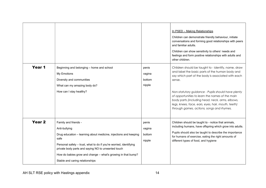| Year 1            | Beginning and belonging - home and school<br>My Emotions<br>Diversity and communities<br>What can my amazing body do?<br>How can I stay healthy?                                                                                                                                                                                                 | penis<br>vagina<br>bottom<br>nipple | In PSED - Making Relationships<br>Children can demonstrate friendly behaviour, initiate<br>conversations and forming good relationships with peers<br>and familiar adults.<br>Children can show sensitivity to others' needs and<br>feelings and form positive relationships with adults and<br>other children.<br>Children should be taught to - identify, name, draw<br>and label the basic parts of the human body and<br>say which part of the body is associated with each<br>sense.<br>Non-statutory guidance - Pupils should have plenty<br>of opportunities to learn the names of the main<br>body parts (including head, neck, arms, elbows,<br>legs, knees, face, ears, eyes, hair, mouth, teeth)<br>through games, actions, songs and rhymes. |
|-------------------|--------------------------------------------------------------------------------------------------------------------------------------------------------------------------------------------------------------------------------------------------------------------------------------------------------------------------------------------------|-------------------------------------|----------------------------------------------------------------------------------------------------------------------------------------------------------------------------------------------------------------------------------------------------------------------------------------------------------------------------------------------------------------------------------------------------------------------------------------------------------------------------------------------------------------------------------------------------------------------------------------------------------------------------------------------------------------------------------------------------------------------------------------------------------|
| Year <sub>2</sub> | Family and friends -<br>Anti-bullying<br>Drug education - learning about medicine, injections and keeping<br>safe<br>Personal safety - trust, what to do if you're worried, identifying<br>private body parts and saying NO to unwanted touch<br>How do babies grow and change - what's growing in that bump?<br>Stable and caring relationships | penis<br>vagina<br>bottom<br>nipple | Children should be taught to - notice that animals,<br>including humans, have offspring which grow into adults.<br>Pupils should also be taught to describe the importance<br>for humans of exercise, eating the right amounts of<br>different types of food, and hygiene                                                                                                                                                                                                                                                                                                                                                                                                                                                                                |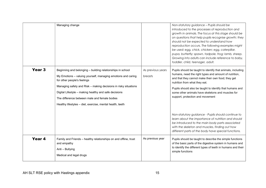|                   | Managing change                                                                                                                                                                                                                                                                                                                                                                                     |                                     | Non-statutory guidance - Pupils should be<br>introduced to the processes of reproduction and<br>growth in animals. The focus at this stage should be<br>on questions that help pupils recognise growth; they<br>should not be expected to understand how<br>reproduction occurs. The following examples might<br>be used: egg, chick, chicken; egg, caterpillar,<br>pupa, butterfly; spawn, tadpole, frog; lamb, sheep.<br>Growing into adults can include reference to baby,<br>toddler, child, teenager, adult.                                                                                                                        |
|-------------------|-----------------------------------------------------------------------------------------------------------------------------------------------------------------------------------------------------------------------------------------------------------------------------------------------------------------------------------------------------------------------------------------------------|-------------------------------------|------------------------------------------------------------------------------------------------------------------------------------------------------------------------------------------------------------------------------------------------------------------------------------------------------------------------------------------------------------------------------------------------------------------------------------------------------------------------------------------------------------------------------------------------------------------------------------------------------------------------------------------|
| Year <sub>3</sub> | Beginning and belonging - building relationships in school<br>My Emotions - valuing yourself, managing emotions and caring<br>for other people's feelings<br>Managing safety and Risk - making decisions in risky situations<br>Digital Lifestyle - making healthy and safe decisions<br>The difference between male and female bodies<br>Healthy lifestyles - diet, exercise, mental health, teeth | As previous years<br><b>breasts</b> | Pupils should be taught to identify that animals, including<br>humans, need the right types and amount of nutrition,<br>and that they cannot make their own food; they get<br>nutrition from what they eat.<br>Pupils should also be taught to identify that humans and<br>some other animals have skeletons and muscles for<br>support, protection and movement<br>Non-statutory guidance - Pupils should continue to<br>learn about the importance of nutrition and should<br>be introduced to the main body parts associated<br>with the skeleton and muscles, finding out how<br>different parts of the body have special functions. |
| Year 4            | Family and Friends - healthy relationships on and offline, trust<br>and empathy<br>Anti - Bullying<br>Medical and legal drugs                                                                                                                                                                                                                                                                       | As previous year                    | Pupils should be taught to describe the simple functions<br>of the basic parts of the digestive system in humans and<br>to identify the different types of teeth in humans and their<br>simple functions                                                                                                                                                                                                                                                                                                                                                                                                                                 |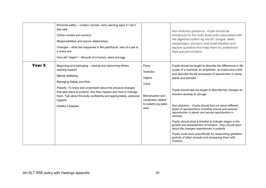|                   | Personal safety - contact, secrets, early warning signs if I don't<br>feel safe<br>Online contact and conduct<br>Responsibilities and secure relationships<br>Changes - what has happened in the past/future, loss of a pet or<br>a loved one<br>How did I begin? - lifecycle of a human, seed and egg                                                                  |                                                                                                                       | Non-statutory guidance - Pupils should be<br>introduced to the main body parts associated with<br>the digestive system eg mouth, tongue, teeth,<br>oesophagus, stomach and small intestine and<br>explore questions that help them to understand<br>their special functions                                                                                                                                                                                                                                                                                                                                                                                                                                                                                                   |
|-------------------|-------------------------------------------------------------------------------------------------------------------------------------------------------------------------------------------------------------------------------------------------------------------------------------------------------------------------------------------------------------------------|-----------------------------------------------------------------------------------------------------------------------|-------------------------------------------------------------------------------------------------------------------------------------------------------------------------------------------------------------------------------------------------------------------------------------------------------------------------------------------------------------------------------------------------------------------------------------------------------------------------------------------------------------------------------------------------------------------------------------------------------------------------------------------------------------------------------------------------------------------------------------------------------------------------------|
| Year <sub>5</sub> | Beginning and belonging - valuing and welcoming others,<br>seeking support<br>Mental wellbeing<br>Managing Safety and Risk<br>Puberty - To know and understand about the physical changes<br>that take place at puberty, why they happen and how to manage<br>them. Talk about the body confidently and appropriately, personal<br>hygiene<br><b>Healthy Lifestyles</b> | Penis<br><b>Testicles</b><br>Vagina<br>Vulva<br>Menstruation and<br>vocabulary related<br>to puberty eg pubic<br>area | Pupils should be taught to describe the differences in life<br>cycles of a mammal, an amphibian, an insect and a bird<br>and describe the life processes of reproduction in some<br>plants and animals.<br>Pupils should also be taught to describe the changes as<br>humans develop to old age.<br>Non-statutory - Pupils should find out about different<br>types of reproductions including sexual and asexual<br>reproduction in plants and sexual reproduction in<br>animals.<br>Pupils should draw a timeline to indicate stages in the<br>growth and development of humans. They should learn<br>about the changes experienced in puberty.<br>Pupils could work scientifically by researching gestation<br>periods of other animals and comparing them with<br>humans. |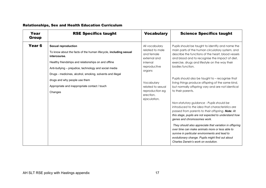#### Relationships, Sex and Health Education Curriculum

| Year<br><b>Group</b> | <b>RSE Specifics taught</b>                                                                                                                                                                                                                                                                                                                                                                | <b>Vocabulary</b>                                                                                                                                                                        | <b>Science Specifics taught</b>                                                                                                                                                                                                                                                                                                                                                                                                                                                                                                                                                                                                                                                                                                                                                                                                                                                                                                                                             |
|----------------------|--------------------------------------------------------------------------------------------------------------------------------------------------------------------------------------------------------------------------------------------------------------------------------------------------------------------------------------------------------------------------------------------|------------------------------------------------------------------------------------------------------------------------------------------------------------------------------------------|-----------------------------------------------------------------------------------------------------------------------------------------------------------------------------------------------------------------------------------------------------------------------------------------------------------------------------------------------------------------------------------------------------------------------------------------------------------------------------------------------------------------------------------------------------------------------------------------------------------------------------------------------------------------------------------------------------------------------------------------------------------------------------------------------------------------------------------------------------------------------------------------------------------------------------------------------------------------------------|
| Year <sub>6</sub>    | <b>Sexual reproduction</b><br>To know about the facts of the human lifecycle, including sexual<br>intercourse.<br>Healthy friendships and relationships on and offline<br>Anti-bullying – prejudice, technology and social media<br>Drugs - medicines, alcohol, smoking, solvents and illegal<br>drugs and why people use them<br>Appropriate and inappropriate contact / touch<br>Changes | All vocabulary<br>related to male<br>and female<br>external and<br>internal<br>reproductive<br>organs<br>Vocabulary<br>related to sexual<br>reproduction eg<br>erection.<br>ejaculation, | Pupils should be taught to identify and name the<br>main parts of the human circulatory system, and<br>describe the functions of the heart, blood vessels<br>and blood and to recognise the impact of diet,<br>exercise, drugs and lifestyle on the way their<br>bodies function.<br>Pupils should also be taught to - recognise that<br>living things produce offspring of the same kind,<br>but normally offspring vary and are not identical<br>to their parents.<br>Non-statutory guidance - Pupils should be<br>introduced to the idea that characteristics are<br>passed from parents to their offspring. Note: At<br>this stage, pupils are not expected to understand how<br>genes and chromosomes work.<br>They should also appreciate that variation in offspring<br>over time can make animals more or less able to<br>survive in particular environments and lead to<br>evolutionary change. Pupils might find out about<br>Charles Darwin's work on evolution. |